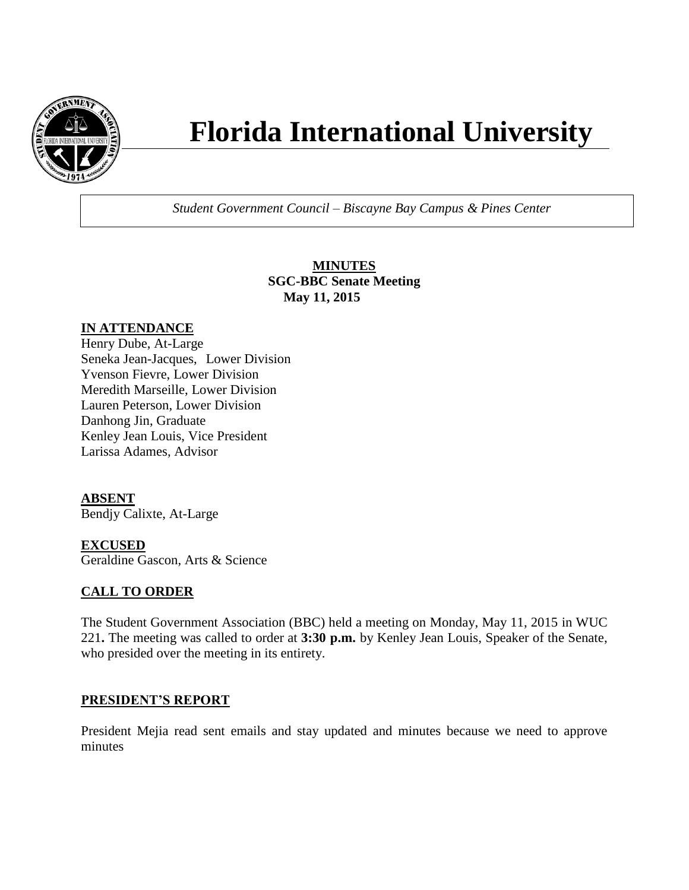

# **Florida International University**

*Student Government Council – Biscayne Bay Campus & Pines Center*

**MINUTES SGC-BBC Senate Meeting May 11, 2015**

## **IN ATTENDANCE**

Henry Dube, At-Large Seneka Jean-Jacques, Lower Division Yvenson Fievre, Lower Division Meredith Marseille, Lower Division Lauren Peterson, Lower Division Danhong Jin, Graduate Kenley Jean Louis, Vice President Larissa Adames, Advisor

### **ABSENT**

Bendjy Calixte, At-Large

#### **EXCUSED**

Geraldine Gascon, Arts & Science

### **CALL TO ORDER**

The Student Government Association (BBC) held a meeting on Monday, May 11, 2015 in WUC 221**.** The meeting was called to order at **3:30 p.m.** by Kenley Jean Louis, Speaker of the Senate, who presided over the meeting in its entirety.

#### **PRESIDENT'S REPORT**

President Mejia read sent emails and stay updated and minutes because we need to approve minutes